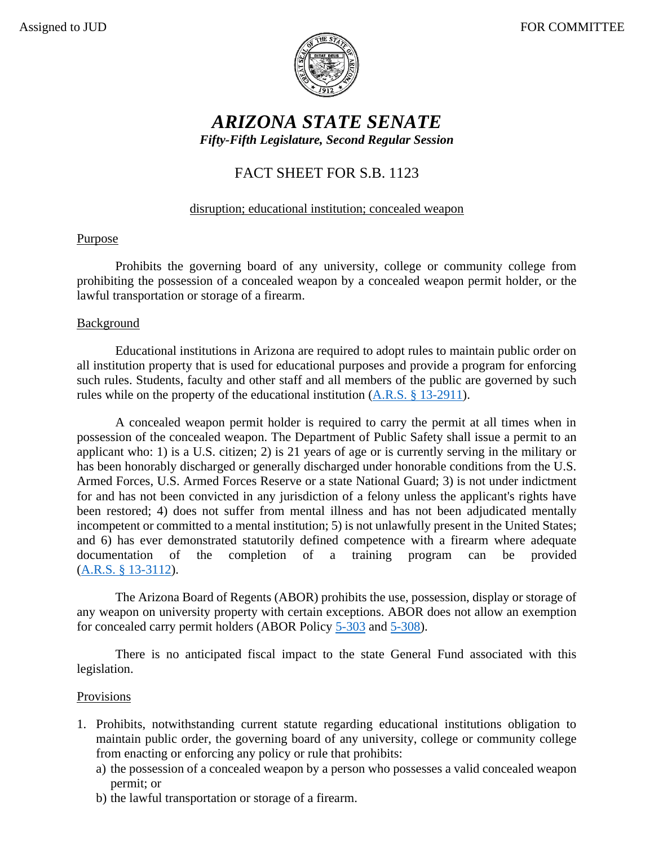

# *ARIZONA STATE SENATE Fifty-Fifth Legislature, Second Regular Session*

## FACT SHEET FOR S.B. 1123

## disruption; educational institution; concealed weapon

### **Purpose**

Prohibits the governing board of any university, college or community college from prohibiting the possession of a concealed weapon by a concealed weapon permit holder, or the lawful transportation or storage of a firearm.

#### Background

Educational institutions in Arizona are required to adopt rules to maintain public order on all institution property that is used for educational purposes and provide a program for enforcing such rules. Students, faculty and other staff and all members of the public are governed by such rules while on the property of the educational institution [\(A.R.S. § 13-2911\)](https://www.azleg.gov/viewdocument/?docName=https://www.azleg.gov/ars/13/02911.htm).

A concealed weapon permit holder is required to carry the permit at all times when in possession of the concealed weapon. The Department of Public Safety shall issue a permit to an applicant who: 1) is a U.S. citizen; 2) is 21 years of age or is currently serving in the military or has been honorably discharged or generally discharged under honorable conditions from the U.S. Armed Forces, U.S. Armed Forces Reserve or a state National Guard; 3) is not under indictment for and has not been convicted in any jurisdiction of a felony unless the applicant's rights have been restored; 4) does not suffer from mental illness and has not been adjudicated mentally incompetent or committed to a mental institution; 5) is not unlawfully present in the United States; and 6) has ever demonstrated statutorily defined competence with a firearm where adequate documentation of the completion of a training program can be provided [\(A.R.S. § 13-3112\)](https://www.azleg.gov/viewdocument/?docName=https://www.azleg.gov/ars/13/03112.htm).

The Arizona Board of Regents (ABOR) prohibits the use, possession, display or storage of any weapon on university property with certain exceptions. ABOR does not allow an exemption for concealed carry permit holders (ABOR Policy [5-303](https://public.azregents.edu/Policy%20Manual/5-303-Prohibited%20Conduct.pdf) and [5-308\)](https://public.azregents.edu/Policy%20Manual/5-308-Student%20Code%20of%20Conduct.pdf).

There is no anticipated fiscal impact to the state General Fund associated with this legislation.

#### **Provisions**

- 1. Prohibits, notwithstanding current statute regarding educational institutions obligation to maintain public order, the governing board of any university, college or community college from enacting or enforcing any policy or rule that prohibits:
	- a) the possession of a concealed weapon by a person who possesses a valid concealed weapon permit; or
	- b) the lawful transportation or storage of a firearm.